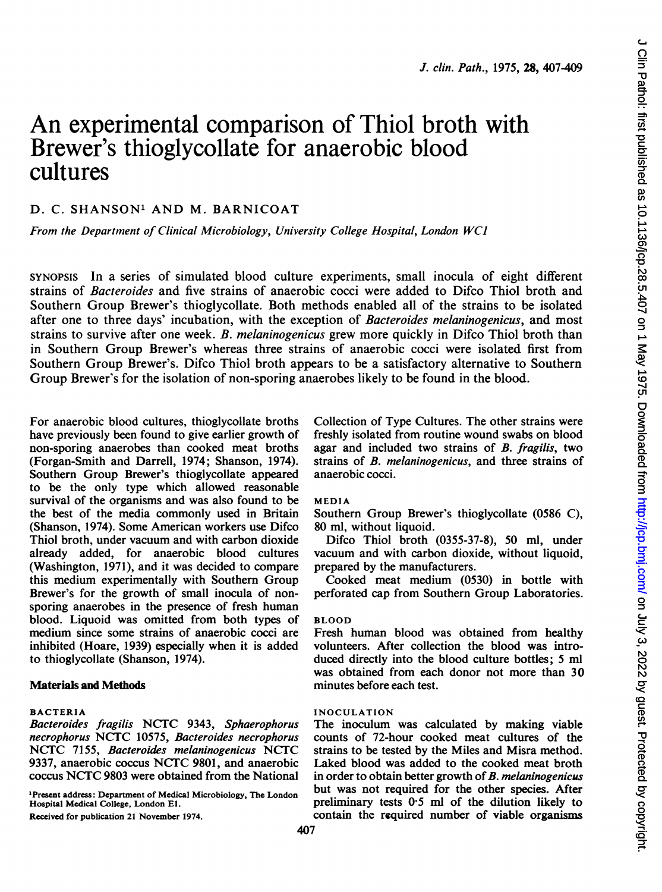# An experimental comparison of Thiol broth with Brewer's thioglycollate for anaerobic blood cultures

## D. C. SHANSON' AND M. BARNICOAT

From the Department of Clinical Microbiology, University College Hospital, London WCJ

SYNOPSIS In a series of simulated blood culture experiments, small inocula of eight different strains of Bacteroides and five strains of anaerobic cocci were added to Difco Thiol broth and Southern Group Brewer's thioglycollate. Both methods enabled all of the strains to be isolated after one to three days' incubation, with the exception of Bacteroides melaninogenicus, and most strains to survive after one week. B. melaninogenicus grew more quickly in Difco Thiol broth than in Southern Group Brewer's whereas three strains of anaerobic cocci were isolated first from Southern Group Brewer's. Difco Thiol broth appears to be a satisfactory alternative to Southern Group Brewer's for the isolation of non-sporing anaerobes likely to be found in the blood.

For anaerobic blood cultures, thioglycollate broths have previously been found to give earlier growth of non-sporing anaerobes than cooked meat broths (Forgan-Smith and Darrell, 1974; Shanson, 1974). Southern Group Brewer's thioglycollate appeared to be the only type which allowed reasonable survival of the organisms and was also found to be the best of the media commonly used in Britain (Shanson, 1974). Some American workers use Difco Thiol broth, under vacuum and with carbon dioxide already added, for anaerobic blood cultures (Washington, 1971), and it was decided to compare this medium experimentally with Southern Group Brewer's for the growth of small inocula of nonsporing anaerobes in the presence of fresh human blood. Liquoid was omitted from both types of medium since some strains of anaerobic cocci are inhibited (Hoare, 1939) especially when it is added to thioglycollate (Shanson, 1974).

## Materials and Methods

#### BACTERIA

Bacteroides fragilis NCTC 9343, Sphaerophorus necrophorus NCTC 10575, Bacteroides necrophorus NCTC 7155, Bacteroides melaninogenicus NCTC 9337, anaerobic coccus NCTC 9801, and anaerobic coccus NCTC <sup>9803</sup> were obtained from the National

"Present address: Department of Medical Microbiology, The London Hospital Medical College, London El. Received for publication 21 November 1974.

407

Collection of Type Cultures. The other strains were freshly isolated from routine wound swabs on blood agar and included two strains of B. fragilis, two strains of B. melaninogenicus, and three strains of anaerobic cocci.

#### MEDIA

Southern Group Brewer's thioglycollate (0586 C), 80 ml, without liquoid.

Difco Thiol broth (0355-37-8), 50 ml, under vacuum and with carbon dioxide, without liquoid, prepared by the manufacturers.

Cooked meat medium (0530) in bottle with perforated cap from Southern Group Laboratories.

#### BLOOD

Fresh human blood was obtained from healthy volunteers. After collection the blood was introduced directly into the blood culture bottles; 5 ml was obtained from each donor not more than 30 minutes before each test.

#### INOCULATION

The inoculum was calculated by making viable counts of 72-hour cooked meat cultures of the strains to be tested by the Miles and Misra method. Laked blood was added to the cooked meat broth in order to obtain better growth of  $B$ . melaninogenicus but was not required for the other species. After preliminary tests  $0.5$  ml of the dilution likely to contain the required number of viable organisms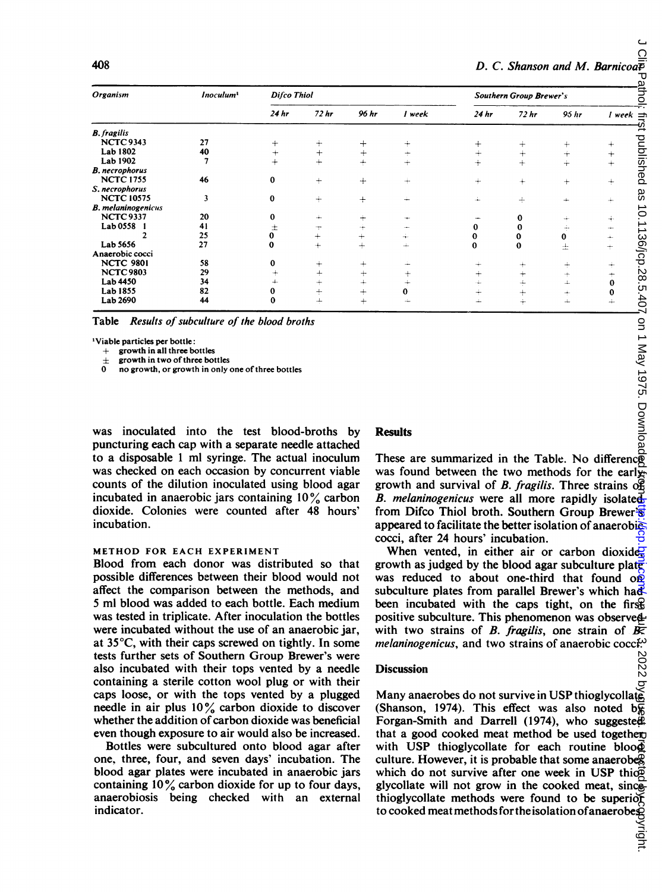| 408                       |                       |                                  |                  |           |          | D. C. Shanson and M. Barnicoa $\bar{\bar{E}}$ |                                  |            |                |
|---------------------------|-----------------------|----------------------------------|------------------|-----------|----------|-----------------------------------------------|----------------------------------|------------|----------------|
| Organism                  | Inoculum <sup>1</sup> | Difco Thiol                      |                  |           |          | <b>Southern Group Brewer's</b>                |                                  |            |                |
|                           |                       | 24hr                             | 72 <sub>hr</sub> | 96 hr     | 1 week   | 24 <sub>hr</sub>                              | 72hr                             | 95 hr      | $1$ week $=$   |
| <b>B.</b> fragilis        |                       |                                  |                  |           |          |                                               |                                  |            |                |
| <b>NCTC 9343</b>          | 27                    | $\pm$                            | $+$              | $^{+}$    | ÷        | $\! +$                                        | $\pm$                            | $\ddot{}$  | $\div$         |
| Lab 1802                  | 40                    | $^+$                             | $^{+}$           | $+$       | ÷        | $^{+}$                                        | $^{+}$                           | $\dot{+}$  | $\color{red}+$ |
| Lab 1902                  |                       | $+$                              | $+$              | $+$       | $+$      | $+$                                           | $+$                              | $\ddot{+}$ | $^{+}$         |
| <b>B.</b> necrophorus     |                       |                                  |                  |           |          |                                               |                                  |            |                |
| <b>NCTC 1755</b>          | 46                    | $\bf{0}$                         | $+$              | $+$       | $\pm$    | ÷                                             | $^{+}$                           | $^{+}$     | $+$            |
| S. necrophorus            |                       |                                  |                  |           |          |                                               |                                  |            |                |
| <b>NCTC 10575</b>         | 3                     | $\bf{0}$                         | $+$              | $+$       | ÷        | ÷                                             | ÷                                | ÷          | $+$            |
| <b>B.</b> melaninogenicus |                       |                                  |                  |           |          |                                               |                                  |            |                |
| <b>NCTC 9337</b>          | 20                    | 0                                | $+$              | $\pm$     |          |                                               | 0                                | $+$        | ÷              |
| Lab 0558                  | 41                    | 土                                | ÷                | ÷         |          | 0                                             | 0                                | ÷          | ÷              |
| 2                         | 25                    | 0                                | $^{+}$           | $+$       | ÷        | 0                                             | 0                                | $\bf{0}$   | $\div$         |
| Lab 5656                  | 27                    | 0                                | $+$              | $+$       | ÷        | $\bf{0}$                                      | 0                                | 士          | $\div$         |
| Anaerobic cocci           |                       |                                  |                  |           |          |                                               |                                  |            |                |
| <b>NCTC 9801</b>          | 58                    | 0                                | $^{+}$           | $\ddot{}$ |          | $\div$                                        | ÷                                | ÷          | ÷              |
| <b>NCTC 9803</b>          | 29                    | $\hspace{0.1mm} +\hspace{0.1mm}$ | $+$              | $+$       | $^{+}$   | $\div$                                        | $\hspace{0.1mm} +\hspace{0.1mm}$ | ÷          | ÷              |
| Lab 4450                  | 34                    |                                  | $^{+}$           | $^{+}$    |          |                                               | ÷                                | $\perp$    | $\bf{0}$       |
| Lab 1855                  | 82                    | 0                                | ÷                | $+$       | $\bf{0}$ | $+$                                           | $+$                              | ÷          | $\bf{0}$       |
| Lab 2690                  | 44                    | $\bf{0}$                         | ÷                | $+$       | ᆠ        | ÷                                             | ÷                                | $\perp$    | ÷              |

'Viable particles per bottle:

growth in all three bottles

growth in two of three bottles

no growth, or growth in only one of three bottles

was inoculated into the test blood-broths by puncturing each cap with a separate needle attached to a disposable <sup>1</sup> ml syringe. The actual inoculum was checked on each occasion by concurrent viable counts of the dilution inoculated using blood agar incubated in anaerobic jars containing  $10\%$  carbon dioxide. Colonies were counted after 48 hours' incubation.

#### METHOD FOR EACH EXPERIMENT

Blood from each donor was distributed so that possible differences between their blood would not affect the comparison between the methods, and 5 ml blood was added to each bottle. Each medium was tested in triplicate. After inoculation the bottles were incubated without the use of an anaerobic jar, at 35°C, with their caps screwed on tightly. In some tests further sets of Southern Group Brewer's were also incubated with their tops vented by a needle containing a sterile cotton wool plug or with their caps loose, or with the tops vented by a plugged needle in air plus 10% carbon dioxide to discover whether the addition of carbon dioxide was beneficial even though exposure to air would also be increased.

Bottles were subcultured onto blood agar after one, three, four, and seven days' incubation. The blood agar plates were incubated in anaerobic jars containing  $10\%$  carbon dioxide for up to four days, anaerobiosis being checked with an external indicator.

#### Results

These are summarized in the Table. No differenc $\overline{\mathsf{g}}$ was found between the two methods for the earlygrowth and survival of B. fragilis. Three strains  $\alpha$ <sup>2</sup> B. melaninogenicus were all more rapidly isolated from Difco Thiol broth. Southern Group Brewer's appeared to facilitate the better isolation of anaerobic cocci, after 24 hours' incubation.

When vented, in either air or carbon dioxide, growth as judged by the blood agar subculture plate was reduced to about one-third that found  $\overrightarrow{OP}$ subculture plates from parallel Brewer's which had been incubated with the caps tight, on the firstpositive subculture. This phenomenon was observed with two strains of B. fragilis, one strain of  $\overline{B}$ . melaninogenicus, and two strains of anaerobic cocci<sup>ty</sup><br>Discussion<br>N

#### **Discussion**

Many anaerobes do not survive in USP thioglycollate (Shanson, 1974). This effect was also noted  $b\overline{g}$ Forgan-Smith and Darrell (1974), who suggested that a good cooked meat method be used togetherwith USP thioglycollate for each routine blood culture. However, it is probable that some anaerobes which do not survive after one week in USP thio $\overline{P}$ glycollate will not grow in the cooked meat, since thioglycollate methods were found to be superior to cooked meat methods for the isolation of anaerobe $\tilde{\mathbf{g}}$ 

Onlight. Protected as 10.1136/jcp.28.5.407 on 1 May 1975. Downloaded Kerkey Brigog Kerkey Guest. Protected from 10.15.2020. Downloaded as a green on 1 May 1975. Downloaded from 10.1136/jcp.28.2020. Downloaded from 10.1136 റ ຸລ ŏ л ∕rn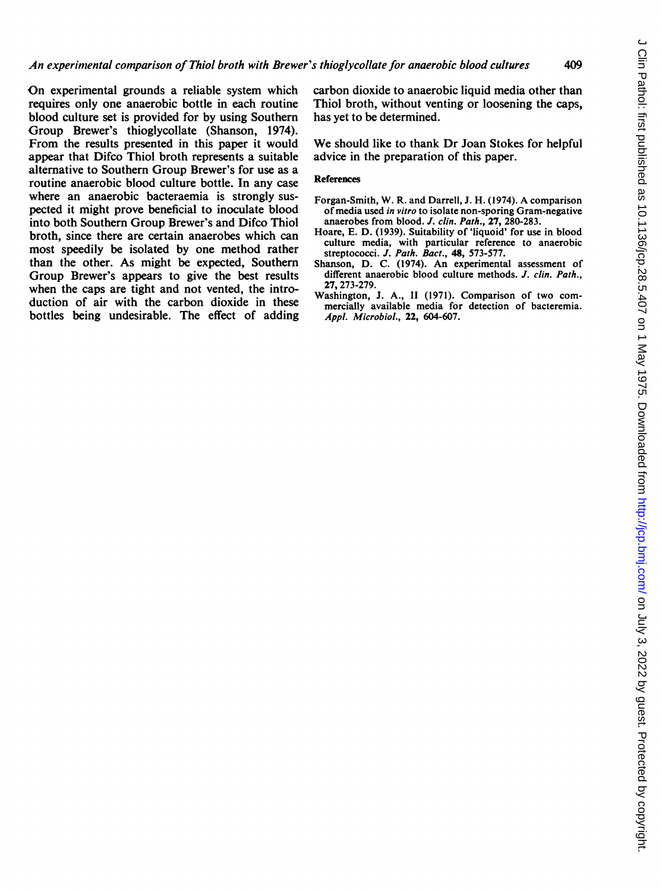On experimental grounds <sup>a</sup> reliable system which requires only one anaerobic bottle in each routine blood culture set is provided for by using Southern Group Brewer's thioglycollate (Shanson, 1974). From the results presented in this paper it would appear that Difco Thiol broth represents a suitable alternative to Southern Group Brewer's for use as a routine anaerobic blood culture bottle. In any case where an anaerobic bacteraemia is strongly suspected it might prove beneficial to inoculate blood into both Southern Group Brewer's and Difco Thiol broth, since there are certain anaerobes which can most speedily be isolated by one method rather than the other. As might be expected, Southern Group Brewer's appears to give the best results when the caps are tight and not vented, the introduction of air with the carbon dioxide in these bottles being undesirable. The effect of adding carbon dioxide to anaerobic liquid media other than Thiol broth, without venting or loosening the caps, has yet to be determined.

We should like to thank Dr Joan Stokes for helpful advice in the preparation of this paper.

### References

- Forgan-Smith, W. R. and Darrell, J. H. (1974). A comparison of media used in vitro to isolate non-sporing Gram-negative anaerobes from blood. J. clin. Path., 27, 280-283.
- Hoare, E. D. (1939). Suitability of 'liquoid' for use in blood culture media, with particular reference to anaerobic streptococci. J. Path. Bact., 48, 573-577.
- Shanson, D. C. (1974). An experimental assessment of different anaerobic blood culture methods. J. clin. Path., 27,273-279.
- Washington, J. A., II (1971). Comparison of two commercially available media for detection of bacteremia. Appl. Microbiol., 22, 604-607.